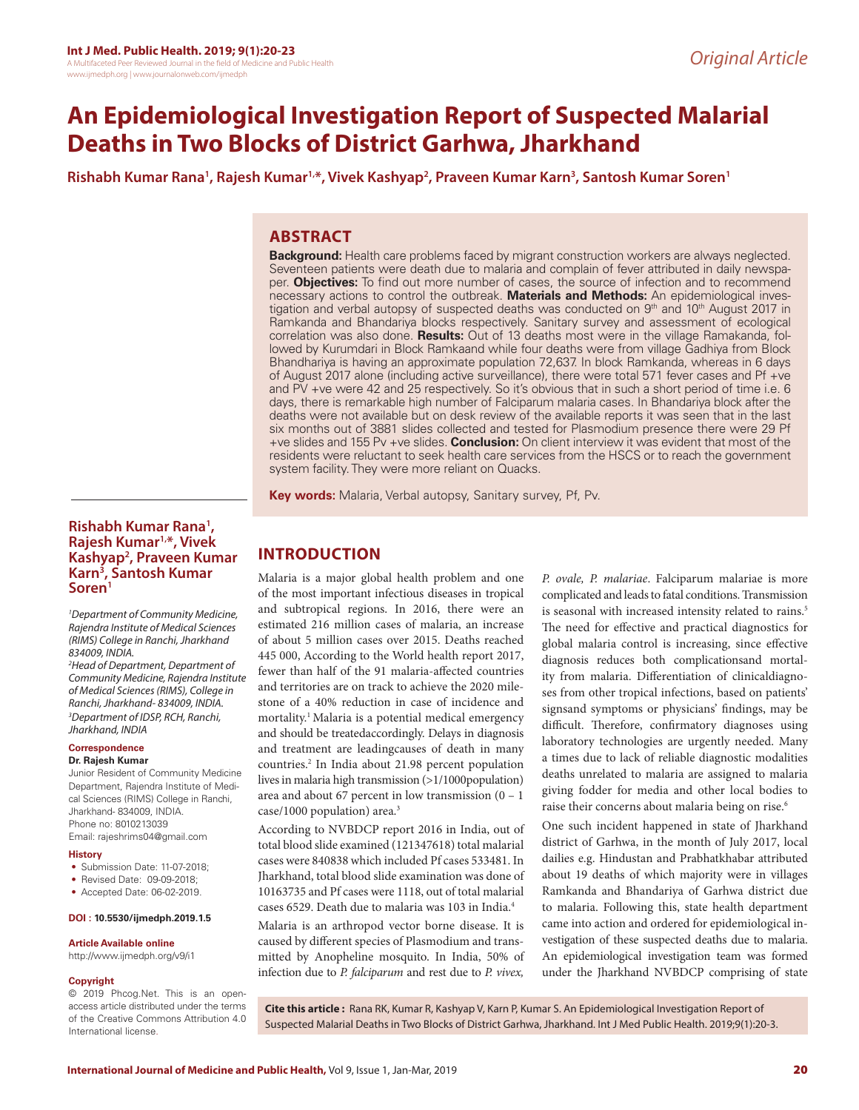# **An Epidemiological Investigation Report of Suspected Malarial Deaths in Two Blocks of District Garhwa, Jharkhand**

**Rishabh Kumar Rana1 , Rajesh Kumar1,\*, Vivek Kashyap2 , Praveen Kumar Karn3 , Santosh Kumar Soren1**

# **ABSTRACT**

**Background:** Health care problems faced by migrant construction workers are always neglected. Seventeen patients were death due to malaria and complain of fever attributed in daily newspaper. **Objectives:** To find out more number of cases, the source of infection and to recommend necessary actions to control the outbreak. **Materials and Methods:** An epidemiological investigation and verbal autopsy of suspected deaths was conducted on 9<sup>th</sup> and 10<sup>th</sup> August 2017 in Ramkanda and Bhandariya blocks respectively. Sanitary survey and assessment of ecological correlation was also done. **Results:** Out of 13 deaths most were in the village Ramakanda, followed by Kurumdari in Block Ramkaand while four deaths were from village Gadhiya from Block Bhandhariya is having an approximate population 72,637. In block Ramkanda, whereas in 6 days of August 2017 alone (including active surveillance), there were total 571 fever cases and Pf +ve and PV +ve were 42 and 25 respectively. So it's obvious that in such a short period of time i.e. 6 days, there is remarkable high number of Falciparum malaria cases. In Bhandariya block after the deaths were not available but on desk review of the available reports it was seen that in the last six months out of 3881 slides collected and tested for Plasmodium presence there were 29 Pf +ve slides and 155 Pv +ve slides. **Conclusion:** On client interview it was evident that most of the residents were reluctant to seek health care services from the HSCS or to reach the government system facility. They were more reliant on Quacks.

**Key words:** Malaria, Verbal autopsy, Sanitary survey, Pf, Pv.

### **Rishabh Kumar Rana1 , Rajesh Kumar1,\*, Vivek Kashyap2 , Praveen Kumar Karn3 , Santosh Kumar Soren1**

*1 Department of Community Medicine, Rajendra Institute of Medical Sciences (RIMS) College in Ranchi, Jharkhand 834009, INDIA.*

*2 Head of Department, Department of Community Medicine, Rajendra Institute of Medical Sciences (RIMS), College in Ranchi, Jharkhand- 834009, INDIA. 3 Department of IDSP, RCH, Ranchi, Jharkhand, INDIA*

# **Correspondence**

### **Dr. Rajesh Kumar**

Junior Resident of Community Medicine Department, Rajendra Institute of Medical Sciences (RIMS) College in Ranchi, Jharkhand- 834009, INDIA. Phone no: 8010213039 Email: rajeshrims04@gmail.com

#### **History**

- Submission Date: 11-07-2018;
- Revised Date: 09-09-2018;
- Accepted Date: 06-02-2019.

#### **DOI : 10.5530/ijmedph.2019.1.5**

#### **Article Available online**

http://www.ijmedph.org/v9/i1

#### **Copyright**

© 2019 Phcog.Net. This is an openaccess article distributed under the terms of the Creative Commons Attribution 4.0 International license.

# **INTRODUCTION**

Malaria is a major global health problem and one of the most important infectious diseases in tropical and subtropical regions. In 2016, there were an estimated 216 million cases of malaria, an increase of about 5 million cases over 2015. Deaths reached 445 000, According to the World health report 2017, fewer than half of the 91 malaria-affected countries and territories are on track to achieve the 2020 milestone of a 40% reduction in case of incidence and mortality.1 Malaria is a potential medical emergency and should be treatedaccordingly. Delays in diagnosis and treatment are leadingcauses of death in many countries.<sup>2</sup> In India about 21.98 percent population lives in malaria high transmission (>1/1000population) area and about 67 percent in low transmission  $(0 - 1)$ case/1000 population) area.3

According to NVBDCP report 2016 in India, out of total blood slide examined (121347618) total malarial cases were 840838 which included Pf cases 533481. In Jharkhand, total blood slide examination was done of 10163735 and Pf cases were 1118, out of total malarial cases 6529. Death due to malaria was 103 in India.4

Malaria is an arthropod vector borne disease. It is caused by different species of Plasmodium and transmitted by Anopheline mosquito. In India, 50% of infection due to *P. falciparum* and rest due to *P. vivex,* 

*P. ovale, P. malariae*. Falciparum malariae is more complicated and leads to fatal conditions. Transmission is seasonal with increased intensity related to rains.<sup>5</sup> The need for effective and practical diagnostics for global malaria control is increasing, since effective diagnosis reduces both complicationsand mortality from malaria. Differentiation of clinicaldiagnoses from other tropical infections, based on patients' signsand symptoms or physicians' findings, may be difficult. Therefore, confirmatory diagnoses using laboratory technologies are urgently needed. Many a times due to lack of reliable diagnostic modalities deaths unrelated to malaria are assigned to malaria giving fodder for media and other local bodies to raise their concerns about malaria being on rise.6

One such incident happened in state of Jharkhand district of Garhwa, in the month of July 2017, local dailies e.g. Hindustan and Prabhatkhabar attributed about 19 deaths of which majority were in villages Ramkanda and Bhandariya of Garhwa district due to malaria. Following this, state health department came into action and ordered for epidemiological investigation of these suspected deaths due to malaria. An epidemiological investigation team was formed under the Jharkhand NVBDCP comprising of state

**Cite this article :** Rana RK, Kumar R, Kashyap V, Karn P, Kumar S. An Epidemiological Investigation Report of Suspected Malarial Deaths in Two Blocks of District Garhwa, Jharkhand. Int J Med Public Health. 2019;9(1):20-3.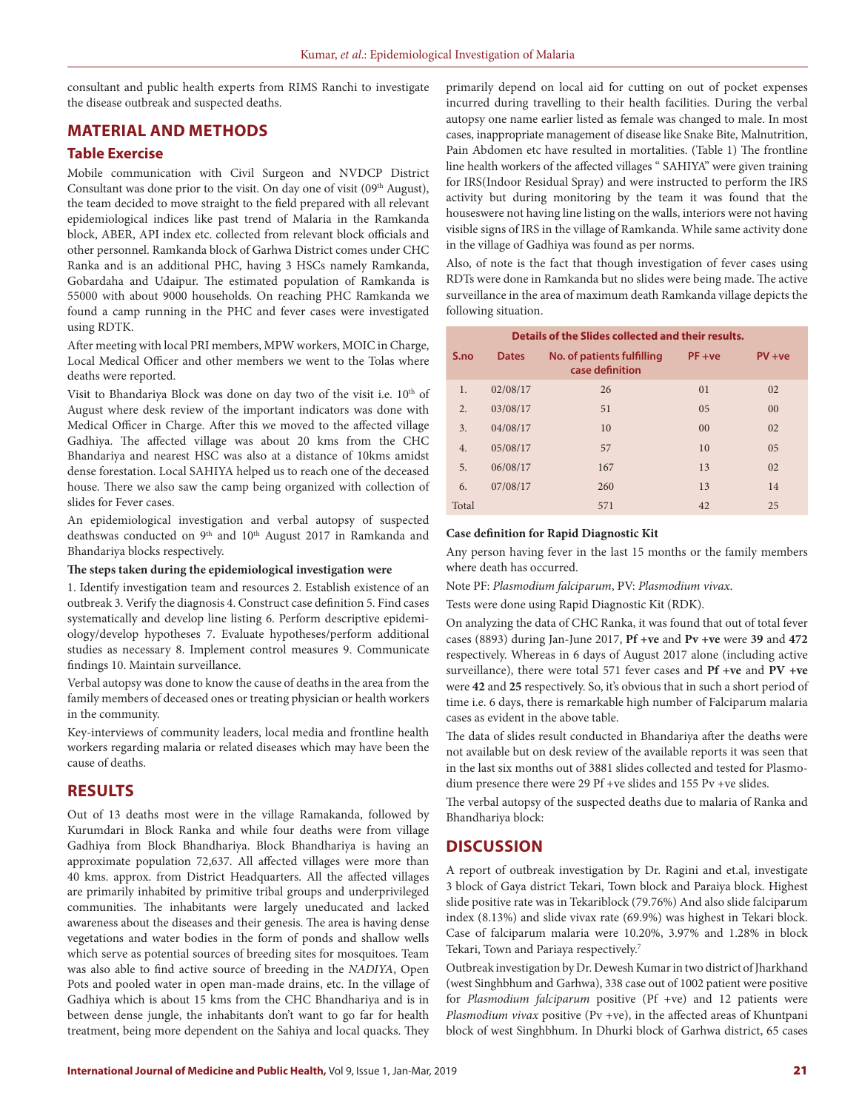consultant and public health experts from RIMS Ranchi to investigate the disease outbreak and suspected deaths.

### **MATERIAL AND METHODS**

### **Table Exercise**

Mobile communication with Civil Surgeon and NVDCP District Consultant was done prior to the visit. On day one of visit  $(09<sup>th</sup> August)$ , the team decided to move straight to the field prepared with all relevant epidemiological indices like past trend of Malaria in the Ramkanda block, ABER, API index etc. collected from relevant block officials and other personnel. Ramkanda block of Garhwa District comes under CHC Ranka and is an additional PHC, having 3 HSCs namely Ramkanda, Gobardaha and Udaipur. The estimated population of Ramkanda is 55000 with about 9000 households. On reaching PHC Ramkanda we found a camp running in the PHC and fever cases were investigated using RDTK.

After meeting with local PRI members, MPW workers, MOIC in Charge, Local Medical Officer and other members we went to the Tolas where deaths were reported.

Visit to Bhandariya Block was done on day two of the visit i.e. 10<sup>th</sup> of August where desk review of the important indicators was done with Medical Officer in Charge. After this we moved to the affected village Gadhiya. The affected village was about 20 kms from the CHC Bhandariya and nearest HSC was also at a distance of 10kms amidst dense forestation. Local SAHIYA helped us to reach one of the deceased house. There we also saw the camp being organized with collection of slides for Fever cases.

An epidemiological investigation and verbal autopsy of suspected deathswas conducted on 9<sup>th</sup> and 10<sup>th</sup> August 2017 in Ramkanda and Bhandariya blocks respectively.

#### **The steps taken during the epidemiological investigation were**

1. Identify investigation team and resources 2. Establish existence of an outbreak 3. Verify the diagnosis 4. Construct case definition 5. Find cases systematically and develop line listing 6. Perform descriptive epidemiology/develop hypotheses 7. Evaluate hypotheses/perform additional studies as necessary 8. Implement control measures 9. Communicate findings 10. Maintain surveillance.

Verbal autopsy was done to know the cause of deaths in the area from the family members of deceased ones or treating physician or health workers in the community.

Key-interviews of community leaders, local media and frontline health workers regarding malaria or related diseases which may have been the cause of deaths.

### **RESULTS**

Out of 13 deaths most were in the village Ramakanda, followed by Kurumdari in Block Ranka and while four deaths were from village Gadhiya from Block Bhandhariya. Block Bhandhariya is having an approximate population 72,637. All affected villages were more than 40 kms. approx. from District Headquarters. All the affected villages are primarily inhabited by primitive tribal groups and underprivileged communities. The inhabitants were largely uneducated and lacked awareness about the diseases and their genesis. The area is having dense vegetations and water bodies in the form of ponds and shallow wells which serve as potential sources of breeding sites for mosquitoes. Team was also able to find active source of breeding in the *NADIYA*, Open Pots and pooled water in open man-made drains, etc. In the village of Gadhiya which is about 15 kms from the CHC Bhandhariya and is in between dense jungle, the inhabitants don't want to go far for health treatment, being more dependent on the Sahiya and local quacks. They

primarily depend on local aid for cutting on out of pocket expenses incurred during travelling to their health facilities. During the verbal autopsy one name earlier listed as female was changed to male. In most cases, inappropriate management of disease like Snake Bite, Malnutrition, Pain Abdomen etc have resulted in mortalities. (Table 1) The frontline line health workers of the affected villages " SAHIYA" were given training for IRS(Indoor Residual Spray) and were instructed to perform the IRS activity but during monitoring by the team it was found that the houseswere not having line listing on the walls, interiors were not having visible signs of IRS in the village of Ramkanda. While same activity done in the village of Gadhiya was found as per norms.

Also, of note is the fact that though investigation of fever cases using RDTs were done in Ramkanda but no slides were being made. The active surveillance in the area of maximum death Ramkanda village depicts the following situation.

| Details of the Slides collected and their results. |              |                                               |                |                |  |  |  |  |  |  |  |
|----------------------------------------------------|--------------|-----------------------------------------------|----------------|----------------|--|--|--|--|--|--|--|
| S.no                                               | <b>Dates</b> | No. of patients fulfilling<br>case definition | $PF + ve$      | $PV + ve$      |  |  |  |  |  |  |  |
| 1.                                                 | 02/08/17     | 26                                            | 0 <sub>1</sub> | 02             |  |  |  |  |  |  |  |
| $\overline{2}$ .                                   | 03/08/17     | 51                                            | 0.5            | 0 <sup>0</sup> |  |  |  |  |  |  |  |
| 3.                                                 | 04/08/17     | 10                                            | 0 <sup>0</sup> | 02             |  |  |  |  |  |  |  |
| 4.                                                 | 05/08/17     | 57                                            | 10             | 0.5            |  |  |  |  |  |  |  |
| 5.                                                 | 06/08/17     | 167                                           | 13             | 02             |  |  |  |  |  |  |  |
| 6.                                                 | 07/08/17     | 260                                           | 13             | 14             |  |  |  |  |  |  |  |
| Total                                              |              | 571                                           | 42             | 25             |  |  |  |  |  |  |  |

### **Case definition for Rapid Diagnostic Kit**

Any person having fever in the last 15 months or the family members where death has occurred.

Note PF: *Plasmodium falciparum*, PV: *Plasmodium vivax*.

Tests were done using Rapid Diagnostic Kit (RDK).

On analyzing the data of CHC Ranka, it was found that out of total fever cases (8893) during Jan-June 2017, **Pf +ve** and **Pv +ve** were **39** and **472** respectively. Whereas in 6 days of August 2017 alone (including active surveillance), there were total 571 fever cases and **Pf +ve** and **PV +ve**  were **42** and **25** respectively. So, it's obvious that in such a short period of time i.e. 6 days, there is remarkable high number of Falciparum malaria cases as evident in the above table.

The data of slides result conducted in Bhandariya after the deaths were not available but on desk review of the available reports it was seen that in the last six months out of 3881 slides collected and tested for Plasmodium presence there were 29 Pf +ve slides and 155 Pv +ve slides.

The verbal autopsy of the suspected deaths due to malaria of Ranka and Bhandhariya block:

### **DISCUSSION**

A report of outbreak investigation by Dr. Ragini and et.al, investigate 3 block of Gaya district Tekari, Town block and Paraiya block. Highest slide positive rate was in Tekariblock (79.76%) And also slide falciparum index (8.13%) and slide vivax rate (69.9%) was highest in Tekari block. Case of falciparum malaria were 10.20%, 3.97% and 1.28% in block Tekari, Town and Pariaya respectively.7

Outbreak investigation by Dr. Dewesh Kumar in two district of Jharkhand (west Singhbhum and Garhwa), 338 case out of 1002 patient were positive for *Plasmodium falciparum* positive (Pf +ve) and 12 patients were *Plasmodium vivax* positive (Pv +ve), in the affected areas of Khuntpani block of west Singhbhum. In Dhurki block of Garhwa district, 65 cases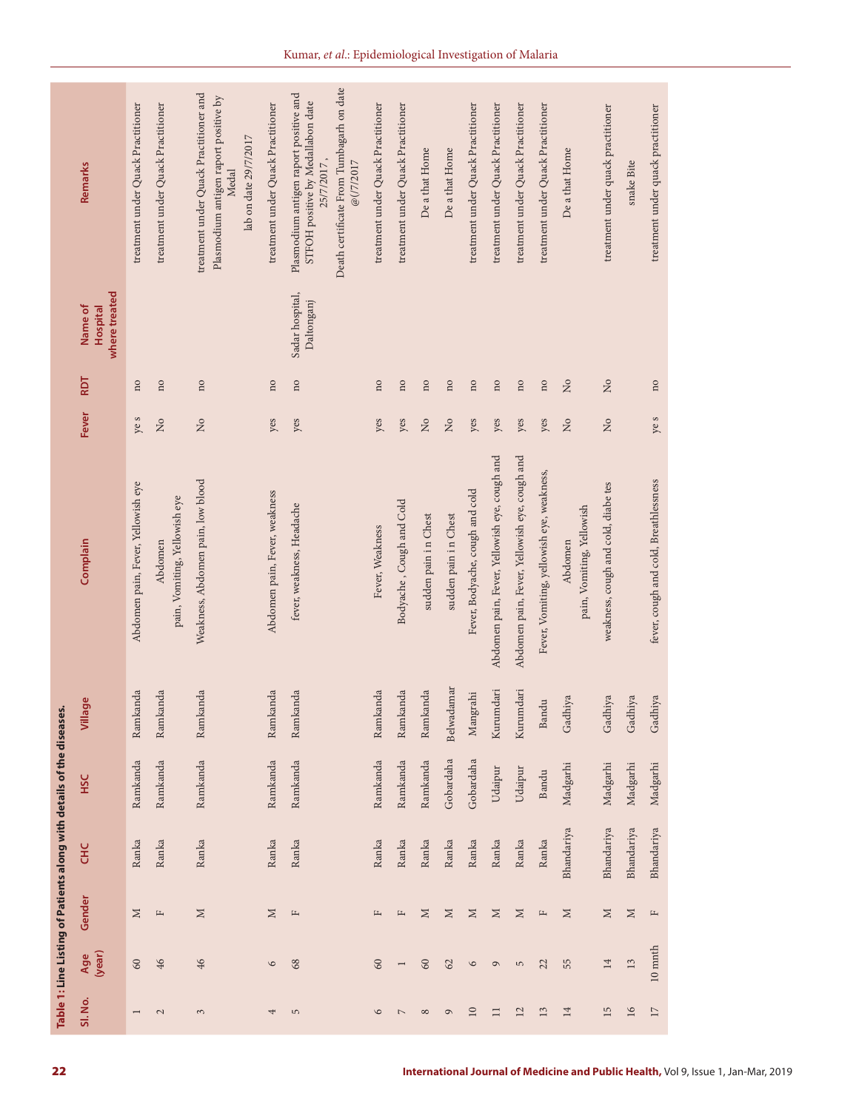|                                                                       | Remarks<br>where treated<br>Name of<br><b>Hospital</b><br>RDT<br>Fever | treatment under Quack Practitioner<br>$\overline{\mathbf{n}}$<br>ye s | treatment under Quack Practitioner<br>$\overline{\mathbf{n}}$<br>$\overline{M}$ | treatment under Quack Practitioner and<br>Plasmodium antigen raport positive by<br>lab on date 29/7/2017<br>Medal<br>$\overline{\mathbf{n}}$<br>$\rm \stackrel{\circ}{\rm \stackrel{\circ}{\rm \scriptscriptstyle M}}$ | treatment under Quack Practitioner<br>$\overline{\mathbf{n}}$<br>yes | Death certificate From Tumbagarh on date<br>Plasmodium antigen raport positive and<br>STFOH positive by Medallabon date<br>25/7/2017,<br>@(/7/2017<br>Sadar hospital,<br>Daltonganj<br>$\overline{\text{no}}$<br>yes | treatment under Quack Practitioner<br>$\overline{\mathbf{n}}$<br>yes | treatment under Quack Practitioner<br>no<br>yes | De a that Home<br>$\overline{\mathbf{n}}$<br>$\rm \stackrel{\circ}{\rm \stackrel{\circ}{\rm \scriptscriptstyle M}}$ | De a that Home<br>no<br>$\rm _{Xo}$ | treatment under Quack Practitioner<br>$\overline{\mathbf{n}}$<br>yes | treatment under Quack Practitioner<br>$\rm ^{10}$<br>yes | treatment under Quack Practitioner<br>$\overline{\mathbf{n}}$<br>yes | treatment under Quack Practitioner<br>$\overline{\mathbf{n}}$<br>yes | De a that Home<br>$\overline{a}$<br>$\rm _{Xo}$ | treatment under quack practitioner<br>$\overline{z}$<br>$\overline{\mathsf{z}}$ | snake Bite  | treatment under quack practitioner<br>$\overline{\mathbf{n}}$<br>ye s |
|-----------------------------------------------------------------------|------------------------------------------------------------------------|-----------------------------------------------------------------------|---------------------------------------------------------------------------------|------------------------------------------------------------------------------------------------------------------------------------------------------------------------------------------------------------------------|----------------------------------------------------------------------|----------------------------------------------------------------------------------------------------------------------------------------------------------------------------------------------------------------------|----------------------------------------------------------------------|-------------------------------------------------|---------------------------------------------------------------------------------------------------------------------|-------------------------------------|----------------------------------------------------------------------|----------------------------------------------------------|----------------------------------------------------------------------|----------------------------------------------------------------------|-------------------------------------------------|---------------------------------------------------------------------------------|-------------|-----------------------------------------------------------------------|
|                                                                       | Complain                                                               | Abdomen pain, Fever, Yellowish eye                                    | pain, Vomiting, Yellowish eye<br>Abdomen                                        | Weakness, Abdomen pain, low blood                                                                                                                                                                                      | Abdomen pain, Fever, weakness                                        | fever, weakness, Headache                                                                                                                                                                                            | Fever, Weakness                                                      | Bodyache, Cough and Cold                        | sudden pain in Chest                                                                                                | sudden pain in Chest                | Fever, Bodyache, cough and cold                                      | Abdomen pain, Fever, Yellowish eye, cough and            | Abdomen pain, Fever, Yellowish eye, cough and                        | Fever, Vomiting, yellowish eye, weakness,                            | pain, Vomiting, Yellowish<br>Abdomen            | weakness, cough and cold, diabe tes                                             |             | fever, cough and cold, Breathlessness                                 |
|                                                                       | Village                                                                | Ramkanda                                                              | Ramkanda                                                                        | Ramkanda                                                                                                                                                                                                               | Ramkanda                                                             | Ramkanda                                                                                                                                                                                                             | Ramkanda                                                             | Ramkanda                                        | Ramkanda                                                                                                            | Belwadamar                          | Mangrahi                                                             | Kurumdari                                                | Kurumdari                                                            | Bandu                                                                | hiya<br>Gadl                                    | Gadhiya                                                                         | hiya<br>Gad | hiya<br>Gad                                                           |
| Table 1: Line Listing of Patients along with details of the diseases. | <b>SSC</b>                                                             | Ramkanda                                                              | Ramkanda                                                                        | Ramkanda                                                                                                                                                                                                               | Ramkanda                                                             | Ramkanda                                                                                                                                                                                                             | Ramkanda                                                             | Ramkanda                                        | Ramkanda                                                                                                            | Gobardaha                           | Gobardaha                                                            | Udaipur                                                  | Udaipur                                                              | Bandu                                                                | Madgarhi                                        | Madgarhi                                                                        | Madgarhi    | Madgarhi                                                              |
|                                                                       | <b>HC</b>                                                              | Ranka                                                                 | Ranka                                                                           | Ranka                                                                                                                                                                                                                  | Ranka                                                                | Ranka                                                                                                                                                                                                                | Ranka                                                                | Ranka                                           | Ranka                                                                                                               | Ranka                               | Ranka                                                                | Ranka                                                    | Ranka                                                                | Ranka                                                                | Bhandariya                                      | Bhandariya                                                                      | Bhandariya  | Bhandariya                                                            |
|                                                                       | Gender                                                                 | $\geq$                                                                | $\frac{1}{2}$                                                                   | $\mathbb{N}$                                                                                                                                                                                                           | $\geq$                                                               | $\mathbb{L}$                                                                                                                                                                                                         | $\mathbb{L}$                                                         | $\mathbb{L}$                                    | $\mathbb{N}$                                                                                                        | $\geq$                              | $\geq$                                                               | $\geq$                                                   | $\mathbb N$                                                          | $\mathbb H$                                                          | $\geq$                                          | $\geq$                                                                          | $\geq$      | $\mathbb{L}$                                                          |
|                                                                       | Age<br>(year)                                                          | 60                                                                    | 46                                                                              | 46                                                                                                                                                                                                                     | $\circ$                                                              | 68                                                                                                                                                                                                                   | 60                                                                   | $\overline{\phantom{0}}$                        | $60\,$                                                                                                              | 62                                  | $\circ$                                                              | $\circ$                                                  | $\overline{5}$                                                       | 22                                                                   | 55                                              | 14                                                                              | 13          | $10\ \mathrm{mnth}$                                                   |
|                                                                       | Sl. No.                                                                | $\overline{\phantom{a}}$                                              | $\mathbb{Z}$                                                                    | $\mathfrak{S}$                                                                                                                                                                                                         | 4                                                                    | $\sqrt{2}$                                                                                                                                                                                                           | $\circ$                                                              | $\mathord{\hspace{1pt}\text{--}\hspace{1pt}}$   | $\infty$                                                                                                            | $\circ$                             | $10\,$                                                               | $\Box$                                                   | 12                                                                   | 13                                                                   | 14                                              | 15                                                                              | 16          | $17\,$                                                                |